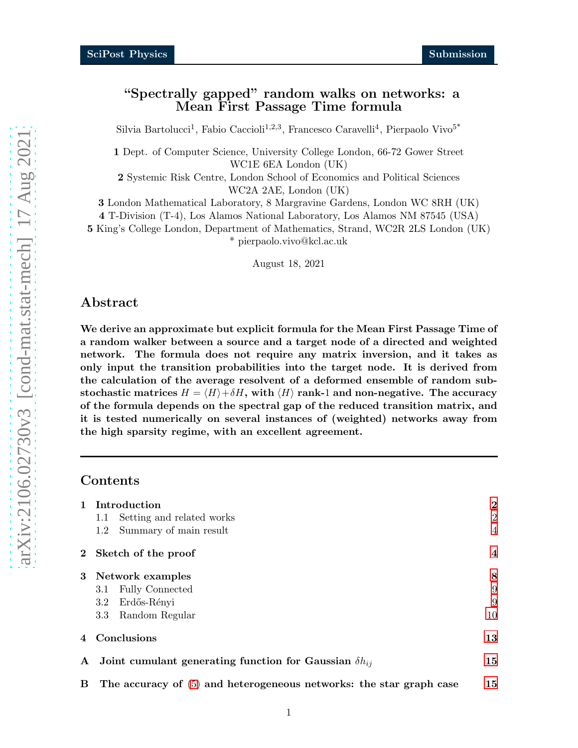## "Spectrally gapped" random walks on networks: a Mean First Passage Time formula

Silvia Bartolucci<sup>1</sup>, Fabio Caccioli<sup>1,2,3</sup>, Francesco Caravelli<sup>4</sup>, Pierpaolo Vivo<sup>5\*</sup>

1 Dept. of Computer Science, University College London, 66-72 Gower Street WC1E 6EA London (UK)

2 Systemic Risk Centre, London School of Economics and Political Sciences WC2A 2AE, London (UK)

3 London Mathematical Laboratory, 8 Margravine Gardens, London WC 8RH (UK)

4 T-Division (T-4), Los Alamos National Laboratory, Los Alamos NM 87545 (USA)

5 King's College London, Department of Mathematics, Strand, WC2R 2LS London (UK) \* pierpaolo.vivo@kcl.ac.uk

August 18, 2021

## Abstract

We derive an approximate but explicit formula for the Mean First Passage Time of a random walker between a source and a target node of a directed and weighted network. The formula does not require any matrix inversion, and it takes as only input the transition probabilities into the target node. It is derived from the calculation of the average resolvent of a deformed ensemble of random substochastic matrices  $H = \langle H \rangle + \delta H$ , with  $\langle H \rangle$  rank-1 and non-negative. The accuracy of the formula depends on the spectral gap of the reduced transition matrix, and it is tested numerically on several instances of (weighted) networks away from the high sparsity regime, with an excellent agreement.

### Contents

| $\mathbf{1}$ | Introduction                                                                 |                |  |  |  |
|--------------|------------------------------------------------------------------------------|----------------|--|--|--|
|              | Setting and related works<br>1.1                                             | $\overline{2}$ |  |  |  |
|              | 1.2 Summary of main result                                                   | 4              |  |  |  |
|              | 2 Sketch of the proof                                                        | 4              |  |  |  |
|              | 3 Network examples                                                           | 8              |  |  |  |
|              | <b>Fully Connected</b><br>3.1                                                | 9              |  |  |  |
|              | Erdős-Rényi<br>$3.2\,$                                                       | 9              |  |  |  |
|              | 3.3 Random Regular                                                           | 10             |  |  |  |
|              | 4 Conclusions                                                                | 13             |  |  |  |
|              | Joint cumulant generating function for Gaussian $\delta h_{ij}$<br>${\bf A}$ |                |  |  |  |
| B            | The accuracy of $(5)$ and heterogeneous networks: the star graph case        |                |  |  |  |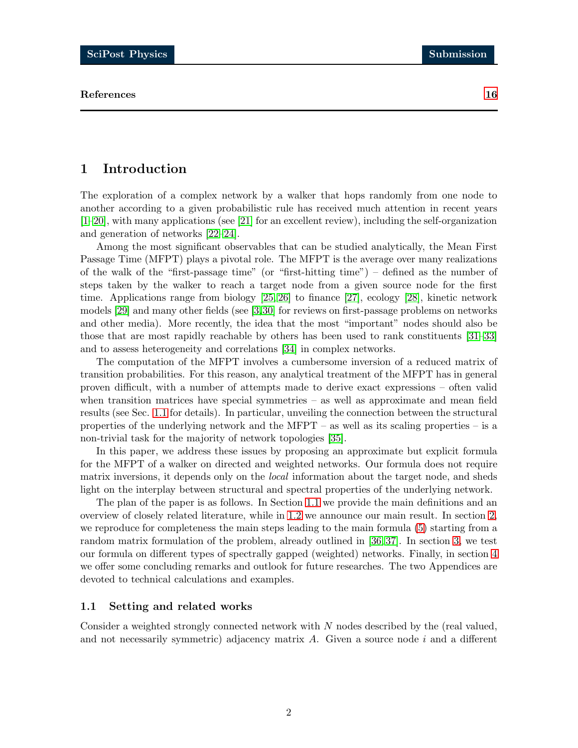#### References [16](#page-14-1)

## <span id="page-1-0"></span>1 Introduction

The exploration of a complex network by a walker that hops randomly from one node to another according to a given probabilistic rule has received much attention in recent years [\[1](#page-15-0)[–20\]](#page-16-0), with many applications (see [\[21\]](#page-16-1) for an excellent review), including the self-organization and generation of networks [\[22](#page-16-2)[–24\]](#page-16-3).

Among the most significant observables that can be studied analytically, the Mean First Passage Time (MFPT) plays a pivotal role. The MFPT is the average over many realizations of the walk of the "first-passage time" (or "first-hitting time") – defined as the number of steps taken by the walker to reach a target node from a given source node for the first time. Applications range from biology [\[25,](#page-16-4) [26\]](#page-17-0) to finance [\[27\]](#page-17-1), ecology [\[28\]](#page-17-2), kinetic network models [\[29\]](#page-17-3) and many other fields (see [\[3,](#page-15-1)[30\]](#page-17-4) for reviews on first-passage problems on networks and other media). More recently, the idea that the most "important" nodes should also be those that are most rapidly reachable by others has been used to rank constituents [\[31–](#page-17-5)[33\]](#page-17-6) and to assess heterogeneity and correlations [\[34\]](#page-17-7) in complex networks.

The computation of the MFPT involves a cumbersome inversion of a reduced matrix of transition probabilities. For this reason, any analytical treatment of the MFPT has in general proven difficult, with a number of attempts made to derive exact expressions – often valid when transition matrices have special symmetries – as well as approximate and mean field results (see Sec. [1.1](#page-1-1) for details). In particular, unveiling the connection between the structural properties of the underlying network and the MFPT – as well as its scaling properties – is a non-trivial task for the majority of network topologies [\[35\]](#page-17-8).

In this paper, we address these issues by proposing an approximate but explicit formula for the MFPT of a walker on directed and weighted networks. Our formula does not require matrix inversions, it depends only on the *local* information about the target node, and sheds light on the interplay between structural and spectral properties of the underlying network.

The plan of the paper is as follows. In Section [1.1](#page-1-1) we provide the main definitions and an overview of closely related literature, while in [1.2](#page-3-0) we announce our main result. In section [2,](#page-3-1) we reproduce for completeness the main steps leading to the main formula [\(5\)](#page-3-2) starting from a random matrix formulation of the problem, already outlined in [\[36,](#page-17-9) [37\]](#page-17-10). In section [3,](#page-7-0) we test our formula on different types of spectrally gapped (weighted) networks. Finally, in section [4](#page-12-0) we offer some concluding remarks and outlook for future researches. The two Appendices are devoted to technical calculations and examples.

#### <span id="page-1-1"></span>1.1 Setting and related works

Consider a weighted strongly connected network with N nodes described by the (real valued, and not necessarily symmetric) adjacency matrix  $A$ . Given a source node  $i$  and a different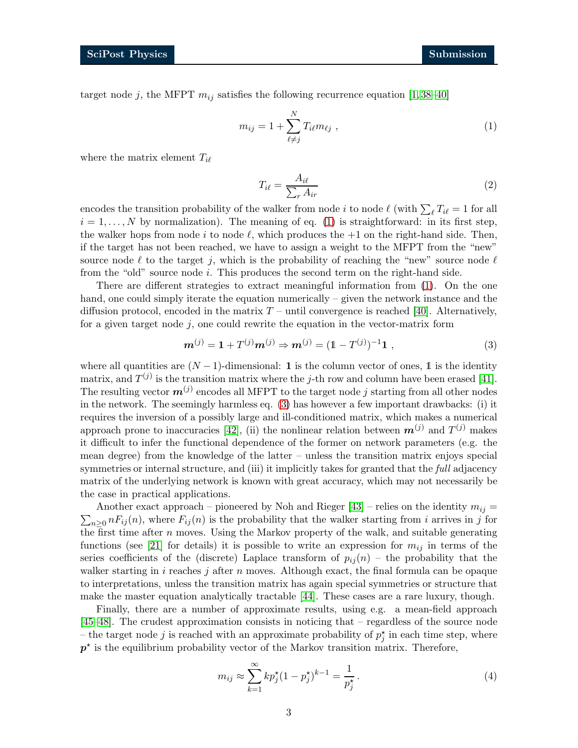target node j, the MFPT  $m_{ij}$  satisfies the following recurrence equation [\[1,](#page-15-0)38[–40\]](#page-18-0)

$$
m_{ij} = 1 + \sum_{\ell \neq j}^{N} T_{i\ell} m_{\ell j} , \qquad (1)
$$

<span id="page-2-3"></span>where the matrix element  $T_{i\ell}$ 

<span id="page-2-1"></span><span id="page-2-0"></span>
$$
T_{i\ell} = \frac{A_{i\ell}}{\sum_{r} A_{ir}}\tag{2}
$$

encodes the transition probability of the walker from node i to node  $\ell$  (with  $\sum_{\ell} T_{i\ell} = 1$  for all  $i = 1, \ldots, N$  by normalization). The meaning of eq. [\(1\)](#page-2-0) is straightforward: in its first step, the walker hops from node i to node  $\ell$ , which produces the  $+1$  on the right-hand side. Then, if the target has not been reached, we have to assign a weight to the MFPT from the "new" source node  $\ell$  to the target j, which is the probability of reaching the "new" source node  $\ell$ from the "old" source node i. This produces the second term on the right-hand side.

There are different strategies to extract meaningful information from [\(1\)](#page-2-0). On the one hand, one could simply iterate the equation numerically – given the network instance and the diffusion protocol, encoded in the matrix  $T$  – until convergence is reached [\[40\]](#page-18-0). Alternatively, for a given target node  $j$ , one could rewrite the equation in the vector-matrix form

$$
\mathbf{m}^{(j)} = \mathbf{1} + T^{(j)} \mathbf{m}^{(j)} \Rightarrow \mathbf{m}^{(j)} = (\mathbf{1} - T^{(j)})^{-1} \mathbf{1} , \qquad (3)
$$

where all quantities are  $(N-1)$ -dimensional: 1 is the column vector of ones, 1 is the identity matrix, and  $T^{(j)}$  is the transition matrix where the j-th row and column have been erased [\[41\]](#page-18-1). The resulting vector  $m^{(j)}$  encodes all MFPT to the target node j starting from all other nodes in the network. The seemingly harmless eq. [\(3\)](#page-2-1) has however a few important drawbacks: (i) it requires the inversion of a possibly large and ill-conditioned matrix, which makes a numerical approach prone to inaccuracies [\[42\]](#page-18-2), (ii) the nonlinear relation between  $m^{(j)}$  and  $T^{(j)}$  makes it difficult to infer the functional dependence of the former on network parameters (e.g. the mean degree) from the knowledge of the latter – unless the transition matrix enjoys special symmetries or internal structure, and (iii) it implicitly takes for granted that the full adjacency matrix of the underlying network is known with great accuracy, which may not necessarily be the case in practical applications.

 $\sum_{n\geq 0} n F_{ij}(n)$ , where  $F_{ij}(n)$  is the probability that the walker starting from i arrives in j for Another exact approach – pioneered by Noh and Rieger [\[43\]](#page-18-3) – relies on the identity  $m_{ij} =$ the first time after  $n$  moves. Using the Markov property of the walk, and suitable generating functions (see [\[21\]](#page-16-1) for details) it is possible to write an expression for  $m_{ij}$  in terms of the series coefficients of the (discrete) Laplace transform of  $p_{ij}(n)$  – the probability that the walker starting in i reaches j after n moves. Although exact, the final formula can be opaque to interpretations, unless the transition matrix has again special symmetries or structure that make the master equation analytically tractable [\[44\]](#page-18-4). These cases are a rare luxury, though.

Finally, there are a number of approximate results, using e.g. a mean-field approach [\[45](#page-18-5)[–48\]](#page-18-6). The crudest approximation consists in noticing that – regardless of the source node – the target node j is reached with an approximate probability of  $p_j^*$  in each time step, where  $p^*$  is the equilibrium probability vector of the Markov transition matrix. Therefore,

<span id="page-2-2"></span>
$$
m_{ij} \approx \sum_{k=1}^{\infty} k p_j^{\star} (1 - p_j^{\star})^{k-1} = \frac{1}{p_j^{\star}}.
$$
\n(4)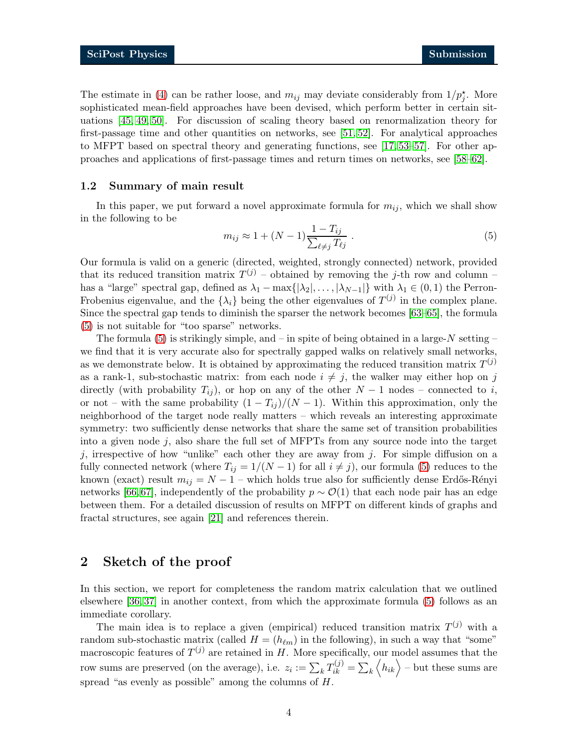The estimate in [\(4\)](#page-2-2) can be rather loose, and  $m_{ij}$  may deviate considerably from  $1/p_j^*$ . More sophisticated mean-field approaches have been devised, which perform better in certain situations [\[45,](#page-18-5) [49,](#page-18-7) [50\]](#page-18-8). For discussion of scaling theory based on renormalization theory for first-passage time and other quantities on networks, see [\[51,](#page-18-9) [52\]](#page-18-10). For analytical approaches to MFPT based on spectral theory and generating functions, see [\[17,](#page-16-5) [53](#page-18-11)[–57\]](#page-19-0). For other approaches and applications of first-passage times and return times on networks, see [\[58–](#page-19-1)[62\]](#page-19-2).

#### <span id="page-3-0"></span>1.2 Summary of main result

In this paper, we put forward a novel approximate formula for  $m_{ij}$ , which we shall show in the following to be

<span id="page-3-2"></span>
$$
m_{ij} \approx 1 + (N - 1) \frac{1 - T_{ij}}{\sum_{\ell \neq j} T_{\ell j}} \tag{5}
$$

Our formula is valid on a generic (directed, weighted, strongly connected) network, provided that its reduced transition matrix  $T^{(j)}$  – obtained by removing the j-th row and column – has a "large" spectral gap, defined as  $\lambda_1 - \max\{|\lambda_2|,\ldots,|\lambda_{N-1}|\}$  with  $\lambda_1 \in (0,1)$  the Perron-Frobenius eigenvalue, and the  $\{\lambda_i\}$  being the other eigenvalues of  $T^{(j)}$  in the complex plane. Since the spectral gap tends to diminish the sparser the network becomes [\[63](#page-19-3)[–65\]](#page-19-4), the formula [\(5\)](#page-3-2) is not suitable for "too sparse" networks.

The formula [\(5\)](#page-3-2) is strikingly simple, and – in spite of being obtained in a large-N setting – we find that it is very accurate also for spectrally gapped walks on relatively small networks, as we demonstrate below. It is obtained by approximating the reduced transition matrix  $T^{(j)}$ as a rank-1, sub-stochastic matrix: from each node  $i \neq j$ , the walker may either hop on j directly (with probability  $T_{ii}$ ), or hop on any of the other  $N-1$  nodes – connected to i, or not – with the same probability  $(1 - T_{ij})/(N - 1)$ . Within this approximation, only the neighborhood of the target node really matters – which reveals an interesting approximate symmetry: two sufficiently dense networks that share the same set of transition probabilities into a given node j, also share the full set of MFPTs from any source node into the target j, irrespective of how "unlike" each other they are away from j. For simple diffusion on a fully connected network (where  $T_{ij} = 1/(N-1)$  for all  $i \neq j$ ), our formula [\(5\)](#page-3-2) reduces to the known (exact) result  $m_{ij} = N - 1$  – which holds true also for sufficiently dense Erdős-Rényi networks [\[66,](#page-19-5)67], independently of the probability  $p \sim \mathcal{O}(1)$  that each node pair has an edge between them. For a detailed discussion of results on MFPT on different kinds of graphs and fractal structures, see again [\[21\]](#page-16-1) and references therein.

## <span id="page-3-1"></span>2 Sketch of the proof

In this section, we report for completeness the random matrix calculation that we outlined elsewhere [\[36,](#page-17-9) [37\]](#page-17-10) in another context, from which the approximate formula [\(5\)](#page-3-2) follows as an immediate corollary.

The main idea is to replace a given (empirical) reduced transition matrix  $T^{(j)}$  with a random sub-stochastic matrix (called  $H = (h_{\ell m})$  in the following), in such a way that "some" macroscopic features of  $T^{(j)}$  are retained in H. More specifically, our model assumes that the row sums are preserved (on the average), i.e.  $z_i := \sum_k T_{ik}^{(j)} = \sum_k \langle h_{ik} \rangle$  – but these sums are spread "as evenly as possible" among the columns of H.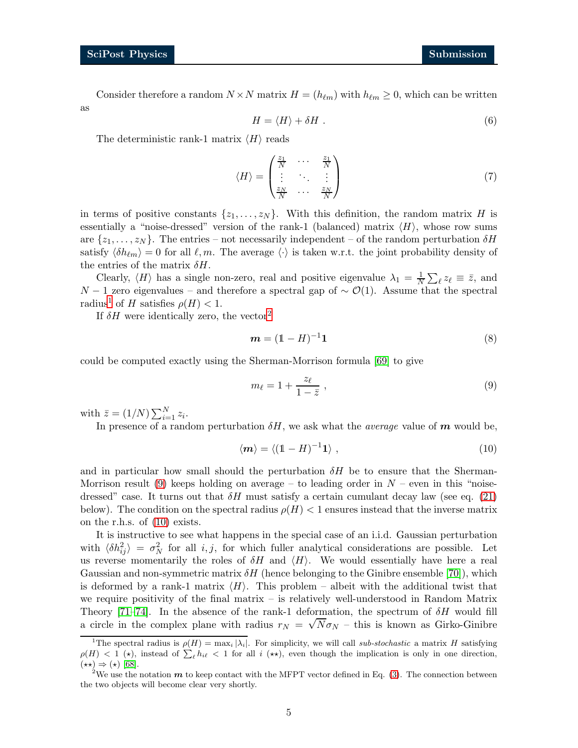<span id="page-4-5"></span>Consider therefore a random  $N \times N$  matrix  $H = (h_{\ell m})$  with  $h_{\ell m} \geq 0$ , which can be written

as

<span id="page-4-4"></span>
$$
H = \langle H \rangle + \delta H \tag{6}
$$

The deterministic rank-1 matrix  $\langle H \rangle$  reads

$$
\langle H \rangle = \begin{pmatrix} \frac{z_1}{N} & \cdots & \frac{z_1}{N} \\ \vdots & \ddots & \vdots \\ \frac{z_N}{N} & \cdots & \frac{z_N}{N} \end{pmatrix}
$$
 (7)

in terms of positive constants  $\{z_1, \ldots, z_N\}$ . With this definition, the random matrix H is essentially a "noise-dressed" version of the rank-1 (balanced) matrix  $\langle H \rangle$ , whose row sums are  $\{z_1, \ldots, z_N\}$ . The entries – not necessarily independent – of the random perturbation  $\delta H$ satisfy  $\langle \delta h_{\ell m} \rangle = 0$  for all  $\ell, m$ . The average  $\langle \cdot \rangle$  is taken w.r.t. the joint probability density of the entries of the matrix  $\delta H$ .

Clearly,  $\langle H \rangle$  has a single non-zero, real and positive eigenvalue  $\lambda_1 = \frac{1}{N} \sum_{\ell} z_{\ell} \equiv \overline{z}$ , and  $N-1$  zero eigenvalues – and therefore a spectral gap of  $\sim \mathcal{O}(1)$ . Assume that the spectral radius<sup>[1](#page-4-0)</sup> of H satisfies  $\rho(H) < 1$ .

If  $\delta H$  were identically zero, the vector<sup>[2](#page-4-1)</sup>

$$
m = (1 - H)^{-1} \mathbf{1}
$$
 (8)

could be computed exactly using the Sherman-Morrison formula [\[69\]](#page-19-7) to give

<span id="page-4-3"></span><span id="page-4-2"></span>
$$
m_{\ell} = 1 + \frac{z_{\ell}}{1 - \bar{z}} \,, \tag{9}
$$

with  $\bar{z} = (1/N) \sum_{i=1}^{N} z_i$ .

In presence of a random perturbation  $\delta H$ , we ask what the *average* value of m would be,

$$
\langle \mathbf{m} \rangle = \langle (\mathbb{1} - H)^{-1} \mathbf{1} \rangle \;, \tag{10}
$$

and in particular how small should the perturbation  $\delta H$  be to ensure that the Sherman-Morrison result [\(9\)](#page-4-2) keeps holding on average – to leading order in  $N$  – even in this "noisedressed" case. It turns out that  $\delta H$  must satisfy a certain cumulant decay law (see eq. [\(21\)](#page-7-1) below). The condition on the spectral radius  $\rho(H) < 1$  ensures instead that the inverse matrix on the r.h.s. of [\(10\)](#page-4-3) exists.

It is instructive to see what happens in the special case of an i.i.d. Gaussian perturbation with  $\langle \delta h_{ij}^2 \rangle = \sigma_N^2$  for all i, j, for which fuller analytical considerations are possible. Let us reverse momentarily the roles of  $\delta H$  and  $\langle H \rangle$ . We would essentially have here a real Gaussian and non-symmetric matrix  $\delta H$  (hence belonging to the Ginibre ensemble [\[70\]](#page-20-0)), which is deformed by a rank-1 matrix  $\langle H \rangle$ . This problem – albeit with the additional twist that we require positivity of the final matrix – is relatively well-understood in Random Matrix Theory [\[71–](#page-20-1)[74\]](#page-20-2). In the absence of the rank-1 deformation, the spectrum of  $\delta H$  would fill a circle in the complex plane with radius  $r_N = \sqrt{N} \sigma_N$  – this is known as Girko-Ginibre

<span id="page-4-0"></span><sup>&</sup>lt;sup>1</sup>The spectral radius is  $\rho(H) = \max_i |\lambda_i|$ . For simplicity, we will call *sub-stochastic* a matrix H satisfying  $\rho(H) < 1$  ( $\star$ ), instead of  $\sum_{\ell} h_{i\ell} < 1$  for all  $i$  ( $\star\star$ ), even though the implication is only in one direction,  $(\star \star) \Rightarrow (\star)$  [\[68\]](#page-19-8).

<span id="page-4-1"></span><sup>&</sup>lt;sup>2</sup>We use the notation  $m$  to keep contact with the MFPT vector defined in Eq. [\(3\)](#page-2-1). The connection between the two objects will become clear very shortly.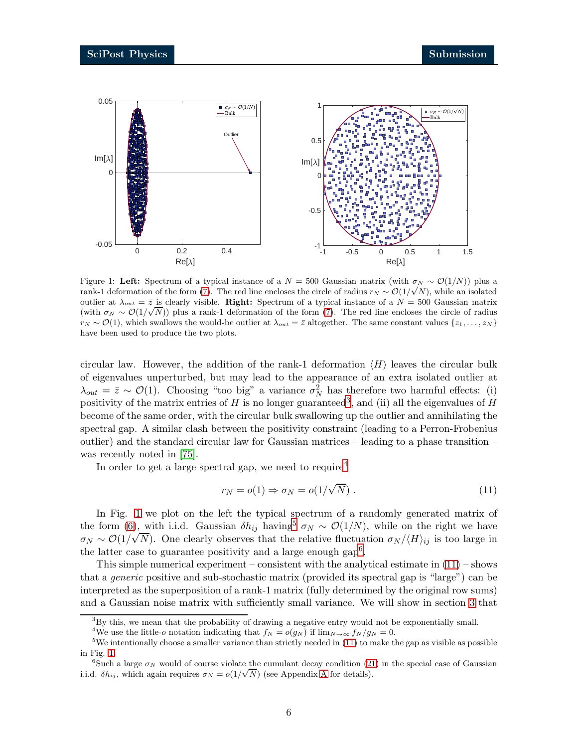<span id="page-5-2"></span>

Figure 1: Left: Spectrum of a typical instance of a  $N = 500$  Gaussian matrix (with  $\sigma_N \sim \mathcal{O}(1/N)$ ) plus a rank-1 deformation of the form [\(7\)](#page-4-4). The red line encloses the circle of radius  $r_N \sim \mathcal{O}(1/\sqrt{N})$ , while an isolated outlier at  $\lambda_{out} = \bar{z}$  is clearly visible. **Right:** Spectrum of a typical instance of a  $N = 500$  Gaussian matrix (with  $\sigma_N \sim \mathcal{O}(1/\sqrt{N})$ ) plus a rank-1 deformation of the form [\(7\)](#page-4-4). The red line encloses the circle of radius  $r_N \sim \mathcal{O}(1)$ , which swallows the would-be outlier at  $\lambda_{out} = \bar{z}$  altogether. The same constant values  $\{z_1, \ldots, z_N\}$ have been used to produce the two plots.

circular law. However, the addition of the rank-1 deformation  $\langle H \rangle$  leaves the circular bulk of eigenvalues unperturbed, but may lead to the appearance of an extra isolated outlier at  $\lambda_{out} = \bar{z} \sim \mathcal{O}(1)$ . Choosing "too big" a variance  $\sigma_N^2$  has therefore two harmful effects: (i) positivity of the matrix entries of H is no longer guaranteed<sup>[3](#page-5-0)</sup>, and (ii) all the eigenvalues of H become of the same order, with the circular bulk swallowing up the outlier and annihilating the spectral gap. A similar clash between the positivity constraint (leading to a Perron-Frobenius outlier) and the standard circular law for Gaussian matrices – leading to a phase transition – was recently noted in [\[75\]](#page-20-3).

In order to get a large spectral gap, we need to require<sup>[4](#page-5-1)</sup>

<span id="page-5-5"></span>
$$
r_N = o(1) \Rightarrow \sigma_N = o(1/\sqrt{N}). \tag{11}
$$

In Fig. [1](#page-5-2) we plot on the left the typical spectrum of a randomly generated matrix of the form [\(6\)](#page-4-5), with i.i.d. Gaussian  $\delta h_{ij}$  having<sup>[5](#page-5-3)</sup>  $\sigma_N \sim \mathcal{O}(1/N)$ , while on the right we have  $\sigma_N \sim \mathcal{O}(1/\sqrt{N})$ . One clearly observes that the relative fluctuation  $\sigma_N / \langle H \rangle_{ij}$  is too large in the latter case to guarantee positivity and a large enough gap<sup>[6](#page-5-4)</sup>.

This simple numerical experiment – consistent with the analytical estimate in  $(11)$  – shows that a generic positive and sub-stochastic matrix (provided its spectral gap is "large") can be interpreted as the superposition of a rank-1 matrix (fully determined by the original row sums) and a Gaussian noise matrix with sufficiently small variance. We will show in section [3](#page-7-0) that

<sup>&</sup>lt;sup>3</sup>By this, we mean that the probability of drawing a negative entry would not be exponentially small.

<span id="page-5-1"></span><span id="page-5-0"></span><sup>&</sup>lt;sup>4</sup>We use the little-o notation indicating that  $f_N = o(g_N)$  if  $\lim_{N \to \infty} f_N / g_N = 0$ .

<span id="page-5-3"></span> $5$ We intentionally choose a smaller variance than strictly needed in [\(11\)](#page-5-5) to make the gap as visible as possible in Fig. [1.](#page-5-2)

<span id="page-5-4"></span><sup>&</sup>lt;sup>6</sup>Such a large  $\sigma_N$  would of course violate the cumulant decay condition [\(21\)](#page-7-1) in the special case of Gaussian i.i.d.  $\delta h_{ij}$ , which again requires  $\sigma_N = o(1/\sqrt{N})$  (see [A](#page-14-0)ppendix A for details).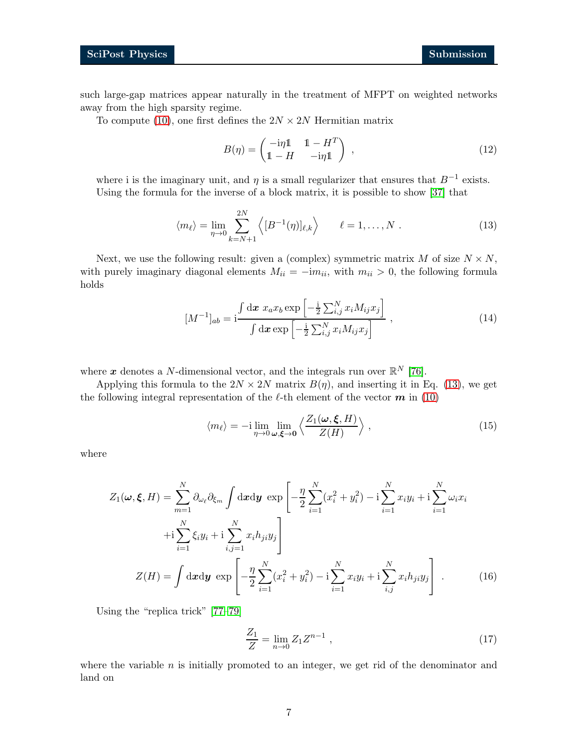such large-gap matrices appear naturally in the treatment of MFPT on weighted networks away from the high sparsity regime.

To compute [\(10\)](#page-4-3), one first defines the  $2N \times 2N$  Hermitian matrix

<span id="page-6-0"></span>
$$
B(\eta) = \begin{pmatrix} -\mathrm{i}\eta \mathbb{1} & \mathbb{1} - H^T \\ \mathbb{1} - H & -\mathrm{i}\eta \mathbb{1} \end{pmatrix} , \qquad (12)
$$

where i is the imaginary unit, and  $\eta$  is a small regularizer that ensures that  $B^{-1}$  exists. Using the formula for the inverse of a block matrix, it is possible to show [\[37\]](#page-17-10) that

$$
\langle m_{\ell} \rangle = \lim_{\eta \to 0} \sum_{k=N+1}^{2N} \left\langle [B^{-1}(\eta)]_{\ell,k} \right\rangle \qquad \ell = 1, \dots, N \tag{13}
$$

Next, we use the following result: given a (complex) symmetric matrix  $M$  of size  $N \times N$ , with purely imaginary diagonal elements  $M_{ii} = -i m_{ii}$ , with  $m_{ii} > 0$ , the following formula holds

$$
[M^{-1}]_{ab} = \mathbf{i} \frac{\int \mathrm{d}\boldsymbol{x} \ x_a x_b \exp\left[-\frac{\mathbf{i}}{2} \sum_{i,j}^N x_i M_{ij} x_j\right]}{\int \mathrm{d}\boldsymbol{x} \exp\left[-\frac{\mathbf{i}}{2} \sum_{i,j}^N x_i M_{ij} x_j\right]},
$$
\n(14)

where  $x$  denotes a N-dimensional vector, and the integrals run over  $\mathbb{R}^N$  [\[76\]](#page-20-4).

Applying this formula to the  $2N \times 2N$  matrix  $B(\eta)$ , and inserting it in Eq. [\(13\)](#page-6-0), we get the following integral representation of the  $\ell$ -th element of the vector  $m$  in [\(10\)](#page-4-3)

$$
\langle m_{\ell} \rangle = -\mathrm{i} \lim_{\eta \to 0} \lim_{\omega, \xi \to 0} \left\langle \frac{Z_1(\omega, \xi, H)}{Z(H)} \right\rangle, \tag{15}
$$

where

$$
Z_{1}(\omega, \xi, H) = \sum_{m=1}^{N} \partial_{\omega_{\ell}} \partial_{\xi_{m}} \int d\mathbf{x} d\mathbf{y} \exp \left[ -\frac{\eta}{2} \sum_{i=1}^{N} (x_{i}^{2} + y_{i}^{2}) - i \sum_{i=1}^{N} x_{i} y_{i} + i \sum_{i=1}^{N} \omega_{i} x_{i} + i \sum_{i=1}^{N} \xi_{i} y_{i} + i \sum_{i,j=1}^{N} x_{i} h_{ji} y_{j} \right]
$$
  

$$
Z(H) = \int d\mathbf{x} d\mathbf{y} \exp \left[ -\frac{\eta}{2} \sum_{i=1}^{N} (x_{i}^{2} + y_{i}^{2}) - i \sum_{i=1}^{N} x_{i} y_{i} + i \sum_{i,j}^{N} x_{i} h_{ji} y_{j} \right].
$$
 (16)

Using the "replica trick" [\[77](#page-20-5)[–79\]](#page-20-6)

$$
\frac{Z_1}{Z} = \lim_{n \to 0} Z_1 Z^{n-1} \tag{17}
$$

where the variable  $n$  is initially promoted to an integer, we get rid of the denominator and land on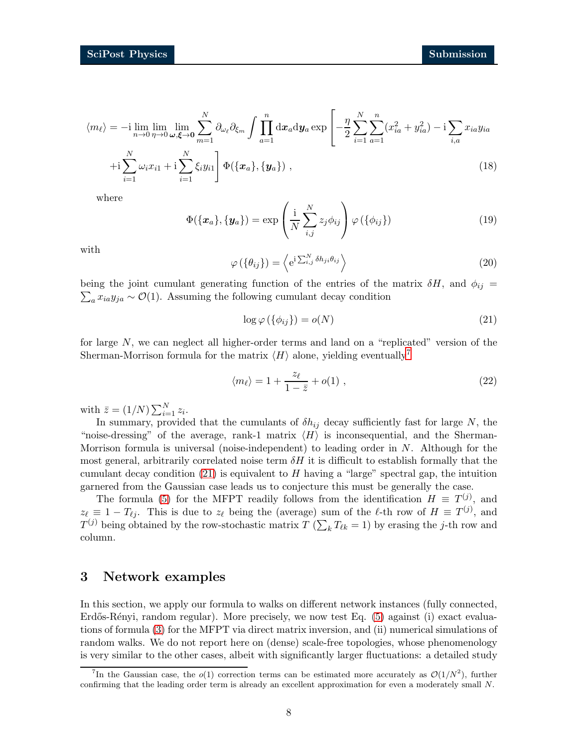$$
\langle m_{\ell} \rangle = -\mathrm{i} \lim_{n \to 0} \lim_{\eta \to 0} \lim_{\omega, \xi \to 0} \sum_{m=1}^{N} \partial_{\omega_{\ell}} \partial_{\xi_m} \int \prod_{a=1}^{n} \mathrm{d}x_a \mathrm{d}y_a \exp \left[ -\frac{\eta}{2} \sum_{i=1}^{N} \sum_{a=1}^{n} (x_{ia}^2 + y_{ia}^2) - \mathrm{i} \sum_{i,a} x_{ia} y_{ia} + \mathrm{i} \sum_{i=1}^{N} \omega_i x_{i1} + \mathrm{i} \sum_{i=1}^{N} \xi_i y_{i1} \right] \Phi(\{\boldsymbol{x}_a\}, \{\boldsymbol{y}_a\}) , \tag{18}
$$

where

$$
\Phi(\{\boldsymbol{x}_a\}, {\boldsymbol{y}_a\}) = \exp\left(\frac{\mathrm{i}}{N} \sum_{i,j}^N z_j \phi_{ij}\right) \varphi(\{\phi_{ij}\}) \tag{19}
$$

<span id="page-7-4"></span>with

$$
\varphi\left(\{\theta_{ij}\}\right) = \left\langle e^{i \sum_{i,j}^{N} \delta h_{ji} \theta_{ij}} \right\rangle \tag{20}
$$

 $\sum_a x_{ia} y_{ja} \sim \mathcal{O}(1)$ . Assuming the following cumulant decay condition being the joint cumulant generating function of the entries of the matrix  $\delta H$ , and  $\phi_{ij} =$ 

<span id="page-7-3"></span><span id="page-7-1"></span>
$$
\log \varphi\left(\{\phi_{ij}\}\right) = o(N) \tag{21}
$$

for large  $N$ , we can neglect all higher-order terms and land on a "replicated" version of the Sherman-Morrison formula for the matrix  $\langle H \rangle$  alone, yielding eventually<sup>[7](#page-7-2)</sup>

$$
\langle m_{\ell} \rangle = 1 + \frac{z_{\ell}}{1 - \bar{z}} + o(1) , \qquad (22)
$$

with  $\bar{z} = (1/N) \sum_{i=1}^{N} z_i$ .

In summary, provided that the cumulants of  $\delta h_{ij}$  decay sufficiently fast for large N, the "noise-dressing" of the average, rank-1 matrix  $\langle H \rangle$  is inconsequential, and the Sherman-Morrison formula is universal (noise-independent) to leading order in  $N$ . Although for the most general, arbitrarily correlated noise term  $\delta H$  it is difficult to establish formally that the cumulant decay condition [\(21\)](#page-7-1) is equivalent to H having a "large" spectral gap, the intuition garnered from the Gaussian case leads us to conjecture this must be generally the case.

The formula [\(5\)](#page-3-2) for the MFPT readily follows from the identification  $H \equiv T^{(j)}$ , and  $z_{\ell} \equiv 1 - T_{\ell j}$ . This is due to  $z_{\ell}$  being the (average) sum of the  $\ell$ -th row of  $H \equiv T^{(j)}$ , and  $T^{(j)}$  being obtained by the row-stochastic matrix  $T \left( \sum_{k} T_{\ell k} = 1 \right)$  by erasing the j-th row and column.

## <span id="page-7-0"></span>3 Network examples

In this section, we apply our formula to walks on different network instances (fully connected, Erdős-Rényi, random regular). More precisely, we now test Eq. [\(5\)](#page-3-2) against (i) exact evaluations of formula [\(3\)](#page-2-1) for the MFPT via direct matrix inversion, and (ii) numerical simulations of random walks. We do not report here on (dense) scale-free topologies, whose phenomenology is very similar to the other cases, albeit with significantly larger fluctuations: a detailed study

<span id="page-7-2"></span>In the Gaussian case, the  $o(1)$  correction terms can be estimated more accurately as  $O(1/N^2)$ , further confirming that the leading order term is already an excellent approximation for even a moderately small N.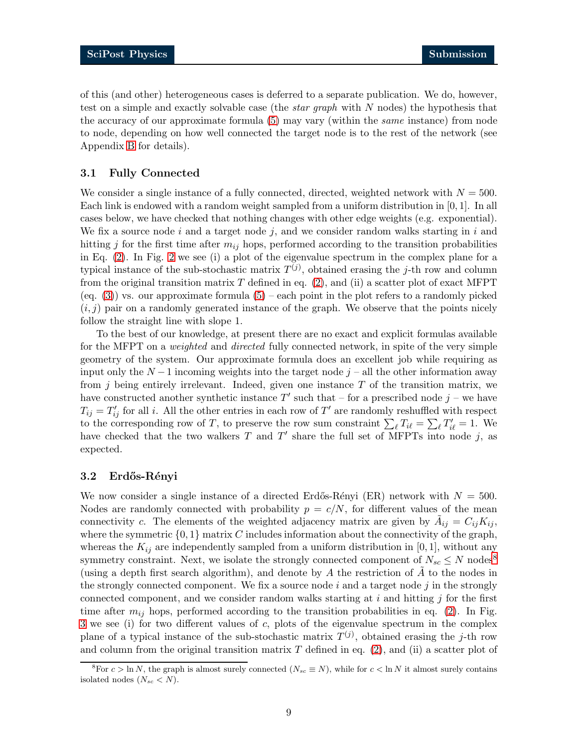of this (and other) heterogeneous cases is deferred to a separate publication. We do, however, test on a simple and exactly solvable case (the *star graph* with N nodes) the hypothesis that the accuracy of our approximate formula [\(5\)](#page-3-2) may vary (within the same instance) from node to node, depending on how well connected the target node is to the rest of the network (see Appendix [B](#page-14-1) for details).

### <span id="page-8-0"></span>3.1 Fully Connected

We consider a single instance of a fully connected, directed, weighted network with  $N = 500$ . Each link is endowed with a random weight sampled from a uniform distribution in [0, 1]. In all cases below, we have checked that nothing changes with other edge weights (e.g. exponential). We fix a source node i and a target node j, and we consider random walks starting in i and hitting j for the first time after  $m_{ij}$  hops, performed according to the transition probabilities in Eq. [\(2\)](#page-2-3). In Fig. [2](#page-9-1) we see (i) a plot of the eigenvalue spectrum in the complex plane for a typical instance of the sub-stochastic matrix  $T^{(j)}$ , obtained erasing the j-th row and column from the original transition matrix  $T$  defined in eq. [\(2\)](#page-2-3), and (ii) a scatter plot of exact MFPT (eq.  $(3)$ ) vs. our approximate formula  $(5)$  – each point in the plot refers to a randomly picked  $(i, j)$  pair on a randomly generated instance of the graph. We observe that the points nicely follow the straight line with slope 1.

To the best of our knowledge, at present there are no exact and explicit formulas available for the MFPT on a weighted and directed fully connected network, in spite of the very simple geometry of the system. Our approximate formula does an excellent job while requiring as input only the  $N-1$  incoming weights into the target node j – all the other information away from j being entirely irrelevant. Indeed, given one instance  $T$  of the transition matrix, we have constructed another synthetic instance  $T'$  such that – for a prescribed node  $j$  – we have  $T_{ij} = T'_{ij}$  for all i. All the other entries in each row of T' are randomly reshuffled with respect to the corresponding row of T, to preserve the row sum constraint  $\sum_{\ell} T_{i\ell} = \sum_{\ell} T'_{i\ell} = 1$ . We have checked that the two walkers  $T$  and  $T'$  share the full set of MFPTs into node j, as expected.

#### <span id="page-8-1"></span>3.2 Erdős-Rényi

We now consider a single instance of a directed Erdős-Rényi (ER) network with  $N = 500$ . Nodes are randomly connected with probability  $p = c/N$ , for different values of the mean connectivity c. The elements of the weighted adjacency matrix are given by  $\tilde{A}_{ij} = C_{ij} K_{ij}$ , where the symmetric  $\{0,1\}$  matrix C includes information about the connectivity of the graph, whereas the  $K_{ij}$  are independently sampled from a uniform distribution in [0, 1], without any symmetry constraint. Next, we isolate the strongly connected component of  $N_{sc} \leq N$  nodes<sup>[8](#page-8-2)</sup> (using a depth first search algorithm), and denote by A the restriction of A to the nodes in the strongly connected component. We fix a source node  $i$  and a target node  $j$  in the strongly connected component, and we consider random walks starting at  $i$  and hitting  $j$  for the first time after  $m_{ij}$  hops, performed according to the transition probabilities in eq. [\(2\)](#page-2-3). In Fig. [3](#page-11-0) we see (i) for two different values of c, plots of the eigenvalue spectrum in the complex plane of a typical instance of the sub-stochastic matrix  $T^{(j)}$ , obtained erasing the j-th row and column from the original transition matrix  $T$  defined in eq. [\(2\)](#page-2-3), and (ii) a scatter plot of

<span id="page-8-2"></span><sup>&</sup>lt;sup>8</sup>For  $c > \ln N$ , the graph is almost surely connected  $(N_{sc} \equiv N)$ , while for  $c < \ln N$  it almost surely contains isolated nodes  $(N_{sc} < N)$ .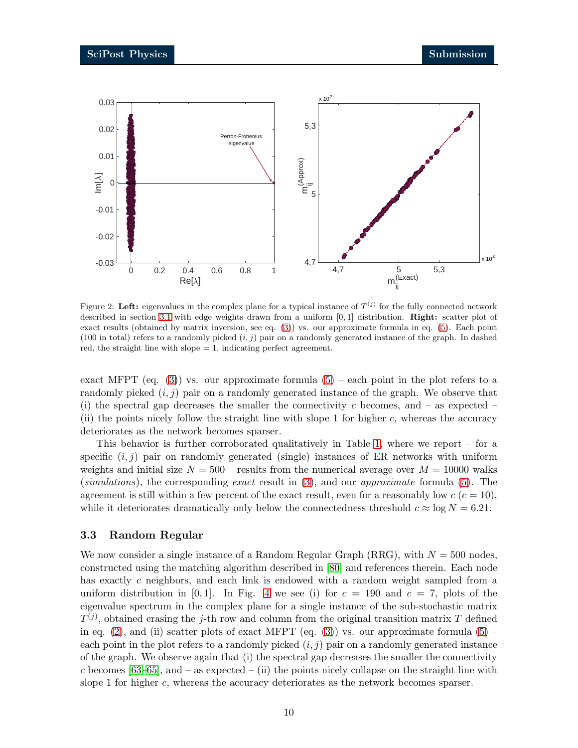<span id="page-9-1"></span>

Figure 2: Left: eigenvalues in the complex plane for a typical instance of  $T^{(j)}$  for the fully connected network described in section [3.1](#page-8-0) with edge weights drawn from a uniform  $[0, 1]$  distribution. **Right:** scatter plot of exact results (obtained by matrix inversion, see eq. [\(3\)](#page-2-1)) vs. our approximate formula in eq. [\(5\)](#page-3-2). Each point (100 in total) refers to a randomly picked  $(i, j)$  pair on a randomly generated instance of the graph. In dashed red, the straight line with slope  $= 1$ , indicating perfect agreement.

exact MFPT (eq. [\(3\)](#page-2-1)) vs. our approximate formula  $(5)$  – each point in the plot refers to a randomly picked  $(i, j)$  pair on a randomly generated instance of the graph. We observe that (i) the spectral gap decreases the smaller the connectivity c becomes, and  $-$  as expected  $-$ (ii) the points nicely follow the straight line with slope 1 for higher  $c$ , whereas the accuracy deteriorates as the network becomes sparser.

This behavior is further corroborated qualitatively in Table [1,](#page-12-1) where we report – for a specific  $(i, j)$  pair on randomly generated (single) instances of ER networks with uniform weights and initial size  $N = 500$  – results from the numerical average over  $M = 10000$  walks (simulations), the corresponding exact result in [\(3\)](#page-2-1), and our approximate formula [\(5\)](#page-3-2). The agreement is still within a few percent of the exact result, even for a reasonably low  $c$  ( $c = 10$ ), while it deteriorates dramatically only below the connectedness threshold  $c \approx \log N = 6.21$ .

#### <span id="page-9-0"></span>3.3 Random Regular

We now consider a single instance of a Random Regular Graph (RRG), with  $N = 500$  nodes, constructed using the matching algorithm described in [\[80\]](#page-20-7) and references therein. Each node has exactly c neighbors, and each link is endowed with a random weight sampled from a uniform distribution in [0, 1]. In Fig. [4](#page-11-1) we see (i) for  $c = 190$  and  $c = 7$ , plots of the eigenvalue spectrum in the complex plane for a single instance of the sub-stochastic matrix  $T^{(j)}$ , obtained erasing the j-th row and column from the original transition matrix T defined in eq. [\(2\)](#page-2-3), and (ii) scatter plots of exact MFPT (eq. [\(3\)](#page-2-1)) vs. our approximate formula [\(5\)](#page-3-2) – each point in the plot refers to a randomly picked  $(i, j)$  pair on a randomly generated instance of the graph. We observe again that (i) the spectral gap decreases the smaller the connectivity c becomes  $[63–65]$  $[63–65]$ , and  $-$  as expected  $-$  (ii) the points nicely collapse on the straight line with slope 1 for higher c, whereas the accuracy deteriorates as the network becomes sparser.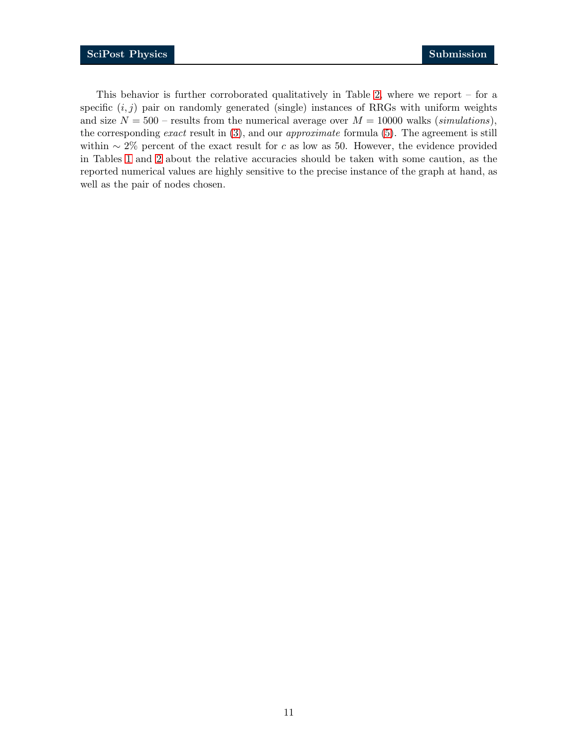This behavior is further corroborated qualitatively in Table [2,](#page-12-2) where we report – for a specific  $(i, j)$  pair on randomly generated (single) instances of RRGs with uniform weights and size  $N = 500$  – results from the numerical average over  $M = 10000$  walks (simulations), the corresponding exact result in  $(3)$ , and our *approximate* formula  $(5)$ . The agreement is still within  $\sim 2\%$  percent of the exact result for c as low as 50. However, the evidence provided in Tables [1](#page-12-1) and [2](#page-12-2) about the relative accuracies should be taken with some caution, as the reported numerical values are highly sensitive to the precise instance of the graph at hand, as well as the pair of nodes chosen.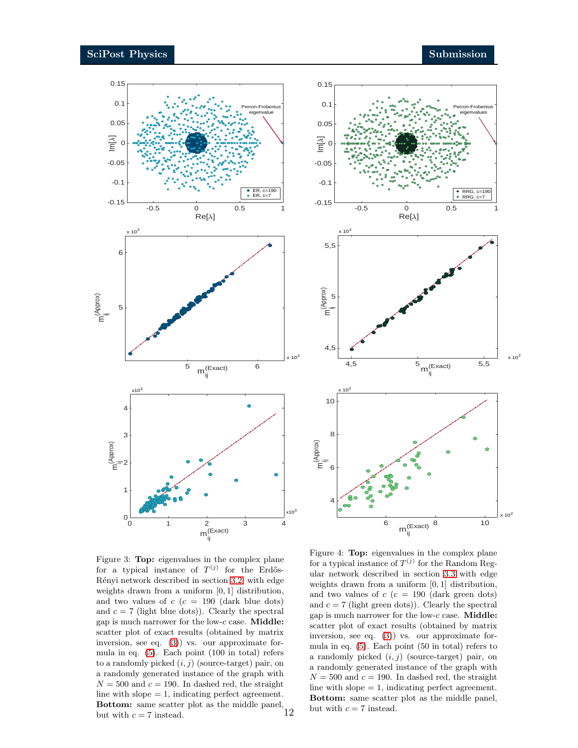<span id="page-11-0"></span>

<span id="page-11-1"></span>

Figure 3: Top: eigenvalues in the complex plane for a typical instance of  $T^{(j)}$  for the Erdős-Rényi network described in section [3.2,](#page-8-1) with edge weights drawn from a uniform [0, 1] distribution, and two values of  $c$  ( $c = 190$  (dark blue dots) and  $c = 7$  (light blue dots)). Clearly the spectral gap is much narrower for the low-c case. Middle: scatter plot of exact results (obtained by matrix inversion, see eq. [\(3\)](#page-2-1)) vs. our approximate formula in eq. [\(5\)](#page-3-2). Each point (100 in total) refers to a randomly picked  $(i, j)$  (source-target) pair, on a randomly generated instance of the graph with  $N = 500$  and  $c = 190$ . In dashed red, the straight line with  $slope = 1$ , indicating perfect agreement. **Bottom:** same scatter plot as the middle panel,<br> $\frac{12}{12}$ but with  $c = 7$  instead.

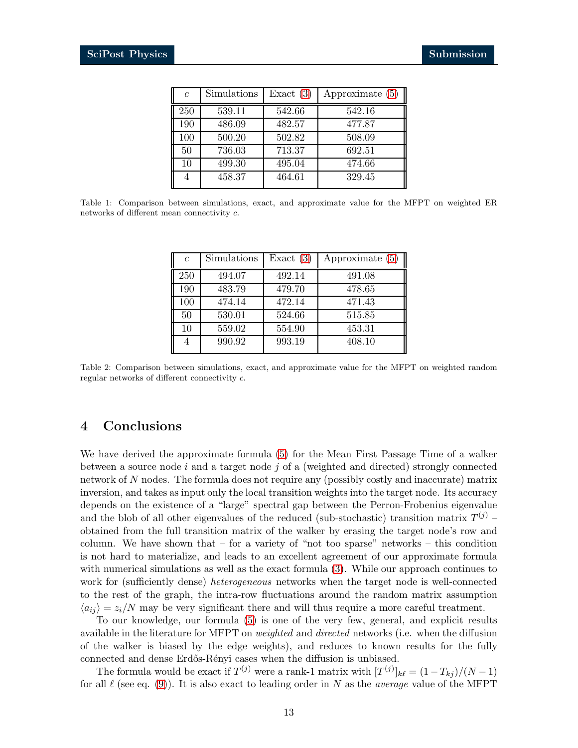<span id="page-12-1"></span>

| $\overline{c}$ | Simulations | Exact $(3)$ | Approximate $(5)$ |
|----------------|-------------|-------------|-------------------|
| 250            | 539.11      | 542.66      | 542.16            |
| 190            | 486.09      | 482.57      | 477.87            |
| 100            | 500.20      | 502.82      | 508.09            |
| 50             | 736.03      | 713.37      | 692.51            |
| 10             | 499.30      | 495.04      | 474.66            |
| 4              | 458.37      | 464.61      | 329.45            |

<span id="page-12-2"></span>Table 1: Comparison between simulations, exact, and approximate value for the MFPT on weighted ER networks of different mean connectivity c.

| $\mathcal{C}$ | Simulations | Exact $(3)$ | Approximate $(5)$ |
|---------------|-------------|-------------|-------------------|
| 250           | 494.07      | 492.14      | 491.08            |
| 190           | 483.79      | 479.70      | 478.65            |
| 100           | 474.14      | 472.14      | 471.43            |
| 50            | 530.01      | 524.66      | 515.85            |
| 10            | 559.02      | 554.90      | 453.31            |
|               | 990.92      | 993.19      | 408.10            |

Table 2: Comparison between simulations, exact, and approximate value for the MFPT on weighted random regular networks of different connectivity c.

## <span id="page-12-0"></span>4 Conclusions

We have derived the approximate formula [\(5\)](#page-3-2) for the Mean First Passage Time of a walker between a source node  $i$  and a target node  $j$  of a (weighted and directed) strongly connected network of N nodes. The formula does not require any (possibly costly and inaccurate) matrix inversion, and takes as input only the local transition weights into the target node. Its accuracy depends on the existence of a "large" spectral gap between the Perron-Frobenius eigenvalue and the blob of all other eigenvalues of the reduced (sub-stochastic) transition matrix  $T^{(j)}$  – obtained from the full transition matrix of the walker by erasing the target node's row and column. We have shown that – for a variety of "not too sparse" networks – this condition is not hard to materialize, and leads to an excellent agreement of our approximate formula with numerical simulations as well as the exact formula [\(3\)](#page-2-1). While our approach continues to work for (sufficiently dense) *heterogeneous* networks when the target node is well-connected to the rest of the graph, the intra-row fluctuations around the random matrix assumption  $\langle a_{ij} \rangle = z_i/N$  may be very significant there and will thus require a more careful treatment.

To our knowledge, our formula [\(5\)](#page-3-2) is one of the very few, general, and explicit results available in the literature for MFPT on *weighted* and *directed* networks (i.e. when the diffusion of the walker is biased by the edge weights), and reduces to known results for the fully connected and dense Erdős-Rényi cases when the diffusion is unbiased.

The formula would be exact if  $T^{(j)}$  were a rank-1 matrix with  $[T^{(j)}]_{k\ell} = (1 - T_{kj})/(N - 1)$ for all  $\ell$  (see eq. [\(9\)](#page-4-2)). It is also exact to leading order in N as the *average* value of the MFPT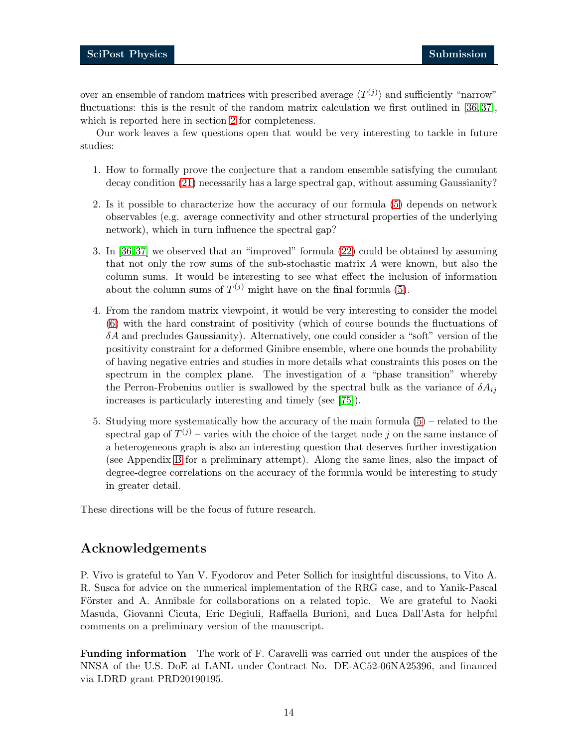over an ensemble of random matrices with prescribed average  $\langle T^{(j)} \rangle$  and sufficiently "narrow" fluctuations: this is the result of the random matrix calculation we first outlined in [\[36,](#page-17-9) [37\]](#page-17-10), which is reported here in section [2](#page-3-1) for completeness.

Our work leaves a few questions open that would be very interesting to tackle in future studies:

- 1. How to formally prove the conjecture that a random ensemble satisfying the cumulant decay condition [\(21\)](#page-7-1) necessarily has a large spectral gap, without assuming Gaussianity?
- 2. Is it possible to characterize how the accuracy of our formula [\(5\)](#page-3-2) depends on network observables (e.g. average connectivity and other structural properties of the underlying network), which in turn influence the spectral gap?
- 3. In [\[36,](#page-17-9) [37\]](#page-17-10) we observed that an "improved" formula [\(22\)](#page-7-3) could be obtained by assuming that not only the row sums of the sub-stochastic matrix A were known, but also the column sums. It would be interesting to see what effect the inclusion of information about the column sums of  $T^{(j)}$  might have on the final formula [\(5\)](#page-3-2).
- 4. From the random matrix viewpoint, it would be very interesting to consider the model [\(6\)](#page-4-5) with the hard constraint of positivity (which of course bounds the fluctuations of  $\delta A$  and precludes Gaussianity). Alternatively, one could consider a "soft" version of the positivity constraint for a deformed Ginibre ensemble, where one bounds the probability of having negative entries and studies in more details what constraints this poses on the spectrum in the complex plane. The investigation of a "phase transition" whereby the Perron-Frobenius outlier is swallowed by the spectral bulk as the variance of  $\delta A_{ij}$ increases is particularly interesting and timely (see [\[75\]](#page-20-3)).
- 5. Studying more systematically how the accuracy of the main formula [\(5\)](#page-3-2) related to the spectral gap of  $T^{(j)}$  – varies with the choice of the target node j on the same instance of a heterogeneous graph is also an interesting question that deserves further investigation (see Appendix [B](#page-14-1) for a preliminary attempt). Along the same lines, also the impact of degree-degree correlations on the accuracy of the formula would be interesting to study in greater detail.

These directions will be the focus of future research.

## Acknowledgements

P. Vivo is grateful to Yan V. Fyodorov and Peter Sollich for insightful discussions, to Vito A. R. Susca for advice on the numerical implementation of the RRG case, and to Yanik-Pascal Förster and A. Annibale for collaborations on a related topic. We are grateful to Naoki Masuda, Giovanni Cicuta, Eric Degiuli, Raffaella Burioni, and Luca Dall'Asta for helpful comments on a preliminary version of the manuscript.

Funding information The work of F. Caravelli was carried out under the auspices of the NNSA of the U.S. DoE at LANL under Contract No. DE-AC52-06NA25396, and financed via LDRD grant PRD20190195.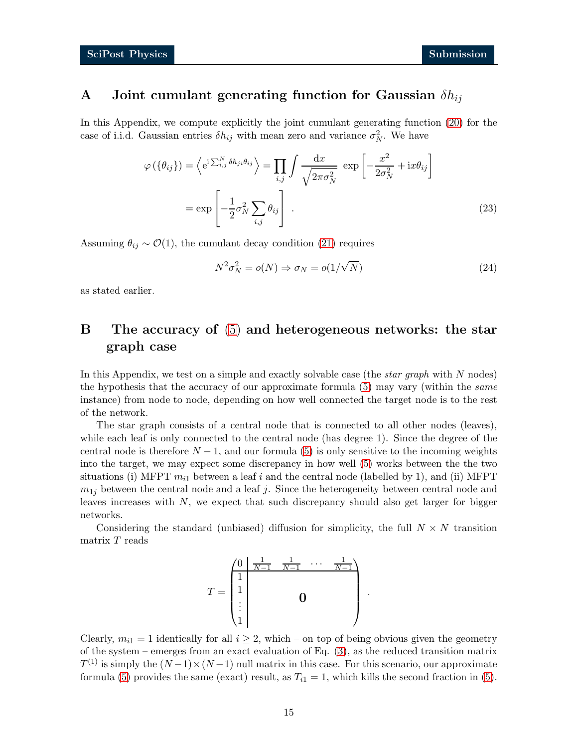## <span id="page-14-0"></span>A Joint cumulant generating function for Gaussian  $\delta h_{ij}$

In this Appendix, we compute explicitly the joint cumulant generating function [\(20\)](#page-7-4) for the case of i.i.d. Gaussian entries  $\delta h_{ij}$  with mean zero and variance  $\sigma_N^2$ . We have

$$
\varphi\left(\{\theta_{ij}\}\right) = \left\langle e^{i\sum_{i,j}^{N} \delta h_{ji}\theta_{ij}} \right\rangle = \prod_{i,j} \int \frac{dx}{\sqrt{2\pi\sigma_N^2}} \exp\left[-\frac{x^2}{2\sigma_N^2} + ix\theta_{ij}\right]
$$

$$
= \exp\left[-\frac{1}{2}\sigma_N^2 \sum_{i,j} \theta_{ij}\right].
$$
(23)

Assuming  $\theta_{ij} \sim \mathcal{O}(1)$ , the cumulant decay condition [\(21\)](#page-7-1) requires

$$
N^2 \sigma_N^2 = o(N) \Rightarrow \sigma_N = o(1/\sqrt{N})
$$
\n(24)

.

as stated earlier.

# <span id="page-14-1"></span>B The accuracy of [\(5\)](#page-3-2) and heterogeneous networks: the star graph case

In this Appendix, we test on a simple and exactly solvable case (the *star graph* with  $N$  nodes) the hypothesis that the accuracy of our approximate formula [\(5\)](#page-3-2) may vary (within the same instance) from node to node, depending on how well connected the target node is to the rest of the network.

The star graph consists of a central node that is connected to all other nodes (leaves), while each leaf is only connected to the central node (has degree 1). Since the degree of the central node is therefore  $N-1$ , and our formula [\(5\)](#page-3-2) is only sensitive to the incoming weights into the target, we may expect some discrepancy in how well [\(5\)](#page-3-2) works between the the two situations (i) MFPT  $m_{i1}$  between a leaf i and the central node (labelled by 1), and (ii) MFPT  $m_{1i}$  between the central node and a leaf j. Since the heterogeneity between central node and leaves increases with  $N$ , we expect that such discrepancy should also get larger for bigger networks.

Considering the standard (unbiased) diffusion for simplicity, the full  $N \times N$  transition matrix T reads

$$
T = \begin{pmatrix} 0 & \frac{1}{N-1} & \frac{1}{N-1} & \cdots & \frac{1}{N-1} \\ 1 & & & & \\ \vdots & & & & \\ 1 & & & & \\ 1 & & & & \end{pmatrix}
$$

Clearly,  $m_{i1} = 1$  identically for all  $i \geq 2$ , which – on top of being obvious given the geometry of the system – emerges from an exact evaluation of Eq.  $(3)$ , as the reduced transition matrix  $T^{(1)}$  is simply the  $(N-1) \times (N-1)$  null matrix in this case. For this scenario, our approximate formula [\(5\)](#page-3-2) provides the same (exact) result, as  $T_{i1} = 1$ , which kills the second fraction in (5).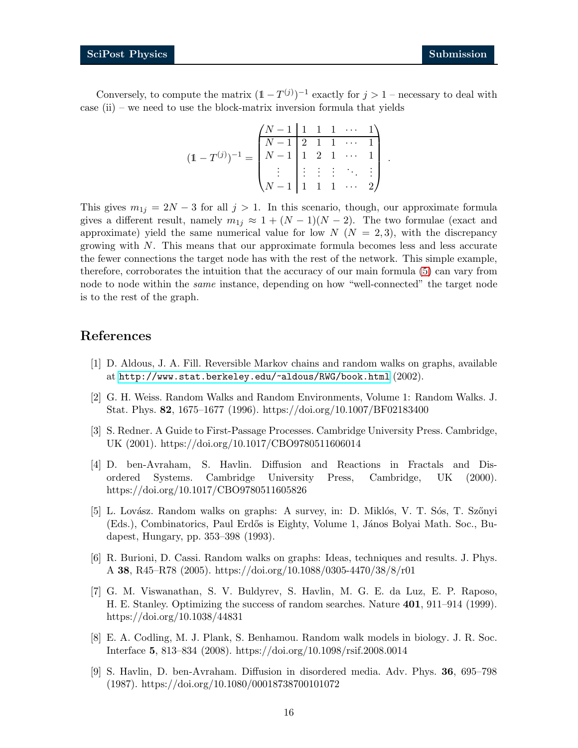Conversely, to compute the matrix  $(1 - T^{(j)})^{-1}$  exactly for  $j > 1$  – necessary to deal with case  $(ii)$  – we need to use the block-matrix inversion formula that yields

$$
(\mathbb{1} - T^{(j)})^{-1} = \begin{pmatrix} N-1 & 1 & 1 & 1 & \cdots & 1 \\ N-1 & 2 & 1 & 1 & \cdots & 1 \\ N-1 & 1 & 2 & 1 & \cdots & 1 \\ \vdots & \vdots & \vdots & \vdots & \ddots & \vdots \\ N-1 & 1 & 1 & 1 & \cdots & 2 \end{pmatrix}.
$$

This gives  $m_{1j} = 2N - 3$  for all  $j > 1$ . In this scenario, though, our approximate formula gives a different result, namely  $m_{1j} \approx 1 + (N-1)(N-2)$ . The two formulae (exact and approximate) yield the same numerical value for low  $N(N = 2, 3)$ , with the discrepancy growing with N. This means that our approximate formula becomes less and less accurate the fewer connections the target node has with the rest of the network. This simple example, therefore, corroborates the intuition that the accuracy of our main formula [\(5\)](#page-3-2) can vary from node to node within the *same* instance, depending on how "well-connected" the target node is to the rest of the graph.

## <span id="page-15-0"></span>References

- [1] D. Aldous, J. A. Fill. Reversible Markov chains and random walks on graphs, available at <http://www.stat.berkeley.edu/~aldous/RWG/book.html> (2002).
- [2] G. H. Weiss. Random Walks and Random Environments, Volume 1: Random Walks. J. Stat. Phys. 82, 1675–1677 (1996). https://doi.org/10.1007/BF02183400
- <span id="page-15-1"></span>[3] S. Redner. A Guide to First-Passage Processes. Cambridge University Press. Cambridge, UK (2001). https://doi.org/10.1017/CBO9780511606014
- [4] D. ben-Avraham, S. Havlin. Diffusion and Reactions in Fractals and Disordered Systems. Cambridge University Press, Cambridge, UK (2000). https://doi.org/10.1017/CBO9780511605826
- [5] L. Lovász. Random walks on graphs: A survey, in: D. Miklós, V. T. Sós, T. Szőnyi (Eds.), Combinatorics, Paul Erdős is Eighty, Volume 1, János Bolyai Math. Soc., Budapest, Hungary, pp. 353–398 (1993).
- [6] R. Burioni, D. Cassi. Random walks on graphs: Ideas, techniques and results. J. Phys. A 38, R45–R78 (2005). https://doi.org/10.1088/0305-4470/38/8/r01
- [7] G. M. Viswanathan, S. V. Buldyrev, S. Havlin, M. G. E. da Luz, E. P. Raposo, H. E. Stanley. Optimizing the success of random searches. Nature 401, 911–914 (1999). https://doi.org/10.1038/44831
- [8] E. A. Codling, M. J. Plank, S. Benhamou. Random walk models in biology. J. R. Soc. Interface 5, 813–834 (2008). https://doi.org/10.1098/rsif.2008.0014
- [9] S. Havlin, D. ben-Avraham. Diffusion in disordered media. Adv. Phys. 36, 695–798 (1987). https://doi.org/10.1080/00018738700101072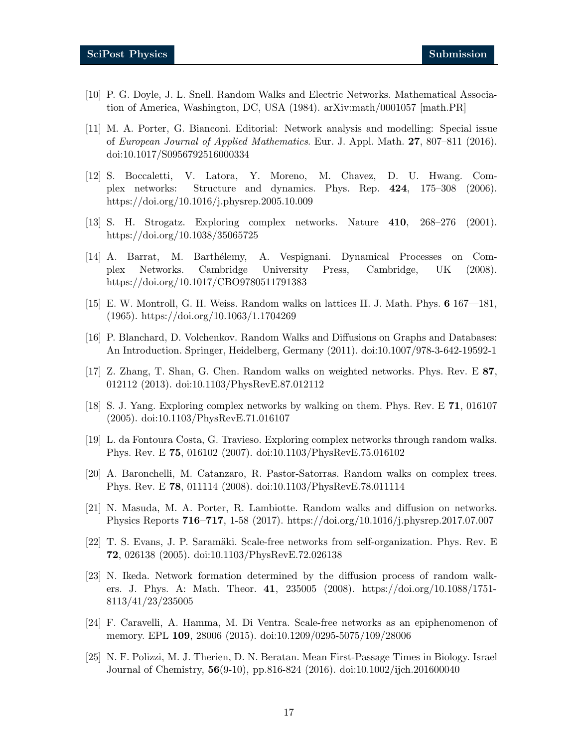- [10] P. G. Doyle, J. L. Snell. Random Walks and Electric Networks. Mathematical Association of America, Washington, DC, USA (1984). arXiv:math/0001057 [math.PR]
- [11] M. A. Porter, G. Bianconi. Editorial: Network analysis and modelling: Special issue of European Journal of Applied Mathematics. Eur. J. Appl. Math. 27, 807–811 (2016). doi:10.1017/S0956792516000334
- [12] S. Boccaletti, V. Latora, Y. Moreno, M. Chavez, D. U. Hwang. Complex networks: Structure and dynamics. Phys. Rep. 424, 175–308 (2006). https://doi.org/10.1016/j.physrep.2005.10.009
- [13] S. H. Strogatz. Exploring complex networks. Nature 410, 268–276 (2001). https://doi.org/10.1038/35065725
- [14] A. Barrat, M. Barth´elemy, A. Vespignani. Dynamical Processes on Complex Networks. Cambridge University Press, Cambridge, UK (2008). https://doi.org/10.1017/CBO9780511791383
- [15] E. W. Montroll, G. H. Weiss. Random walks on lattices II. J. Math. Phys. 6 167––181, (1965). https://doi.org/10.1063/1.1704269
- <span id="page-16-5"></span>[16] P. Blanchard, D. Volchenkov. Random Walks and Diffusions on Graphs and Databases: An Introduction. Springer, Heidelberg, Germany (2011). doi:10.1007/978-3-642-19592-1
- [17] Z. Zhang, T. Shan, G. Chen. Random walks on weighted networks. Phys. Rev. E 87, 012112 (2013). doi:10.1103/PhysRevE.87.012112
- [18] S. J. Yang. Exploring complex networks by walking on them. Phys. Rev. E 71, 016107 (2005). doi:10.1103/PhysRevE.71.016107
- [19] L. da Fontoura Costa, G. Travieso. Exploring complex networks through random walks. Phys. Rev. E 75, 016102 (2007). doi:10.1103/PhysRevE.75.016102
- <span id="page-16-1"></span><span id="page-16-0"></span>[20] A. Baronchelli, M. Catanzaro, R. Pastor-Satorras. Random walks on complex trees. Phys. Rev. E 78, 011114 (2008). doi:10.1103/PhysRevE.78.011114
- <span id="page-16-2"></span>[21] N. Masuda, M. A. Porter, R. Lambiotte. Random walks and diffusion on networks. Physics Reports 716–717, 1-58 (2017). https://doi.org/10.1016/j.physrep.2017.07.007
- [22] T. S. Evans, J. P. Saramäki. Scale-free networks from self-organization. Phys. Rev. E 72, 026138 (2005). doi:10.1103/PhysRevE.72.026138
- [23] N. Ikeda. Network formation determined by the diffusion process of random walkers. J. Phys. A: Math. Theor. 41, 235005 (2008). https://doi.org/10.1088/1751- 8113/41/23/235005
- <span id="page-16-3"></span>[24] F. Caravelli, A. Hamma, M. Di Ventra. Scale-free networks as an epiphenomenon of memory. EPL 109, 28006 (2015). doi:10.1209/0295-5075/109/28006
- <span id="page-16-4"></span>[25] N. F. Polizzi, M. J. Therien, D. N. Beratan. Mean First-Passage Times in Biology. Israel Journal of Chemistry, 56(9-10), pp.816-824 (2016). doi:10.1002/ijch.201600040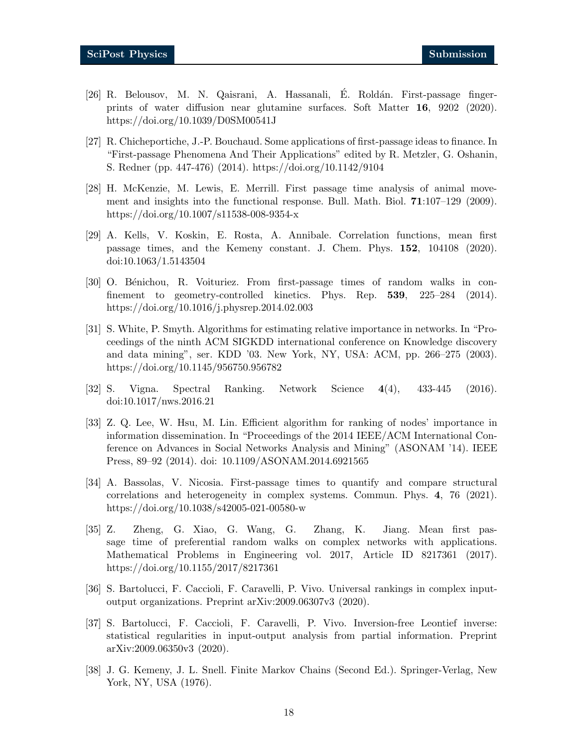- <span id="page-17-0"></span>[26] R. Belousov, M. N. Qaisrani, A. Hassanali, E. Roldán. First-passage fingerprints of water diffusion near glutamine surfaces. Soft Matter 16, 9202 (2020). https://doi.org/10.1039/D0SM00541J
- <span id="page-17-1"></span>[27] R. Chicheportiche, J.-P. Bouchaud. Some applications of first-passage ideas to finance. In "First-passage Phenomena And Their Applications" edited by R. Metzler, G. Oshanin, S. Redner (pp. 447-476) (2014). https://doi.org/10.1142/9104
- <span id="page-17-2"></span>[28] H. McKenzie, M. Lewis, E. Merrill. First passage time analysis of animal movement and insights into the functional response. Bull. Math. Biol. 71:107–129 (2009). https://doi.org/10.1007/s11538-008-9354-x
- <span id="page-17-3"></span>[29] A. Kells, V. Koskin, E. Rosta, A. Annibale. Correlation functions, mean first passage times, and the Kemeny constant. J. Chem. Phys. 152, 104108 (2020). doi:10.1063/1.5143504
- <span id="page-17-4"></span>[30] O. Bénichou, R. Voituriez. From first-passage times of random walks in confinement to geometry-controlled kinetics. Phys. Rep. 539, 225–284 (2014). https://doi.org/10.1016/j.physrep.2014.02.003
- <span id="page-17-5"></span>[31] S. White, P. Smyth. Algorithms for estimating relative importance in networks. In "Proceedings of the ninth ACM SIGKDD international conference on Knowledge discovery and data mining", ser. KDD '03. New York, NY, USA: ACM, pp. 266–275 (2003). https://doi.org/10.1145/956750.956782
- [32] S. Vigna. Spectral Ranking. Network Science 4(4), 433-445 (2016). doi:10.1017/nws.2016.21
- <span id="page-17-6"></span>[33] Z. Q. Lee, W. Hsu, M. Lin. Efficient algorithm for ranking of nodes' importance in information dissemination. In "Proceedings of the 2014 IEEE/ACM International Conference on Advances in Social Networks Analysis and Mining" (ASONAM '14). IEEE Press, 89–92 (2014). doi: 10.1109/ASONAM.2014.6921565
- <span id="page-17-7"></span>[34] A. Bassolas, V. Nicosia. First-passage times to quantify and compare structural correlations and heterogeneity in complex systems. Commun. Phys. 4, 76 (2021). https://doi.org/10.1038/s42005-021-00580-w
- <span id="page-17-8"></span>[35] Z. Zheng, G. Xiao, G. Wang, G. Zhang, K. Jiang. Mean first passage time of preferential random walks on complex networks with applications. Mathematical Problems in Engineering vol. 2017, Article ID 8217361 (2017). https://doi.org/10.1155/2017/8217361
- <span id="page-17-9"></span>[36] S. Bartolucci, F. Caccioli, F. Caravelli, P. Vivo. Universal rankings in complex inputoutput organizations. Preprint arXiv:2009.06307v3 (2020).
- <span id="page-17-10"></span>[37] S. Bartolucci, F. Caccioli, F. Caravelli, P. Vivo. Inversion-free Leontief inverse: statistical regularities in input-output analysis from partial information. Preprint arXiv:2009.06350v3 (2020).
- <span id="page-17-11"></span>[38] J. G. Kemeny, J. L. Snell. Finite Markov Chains (Second Ed.). Springer-Verlag, New York, NY, USA (1976).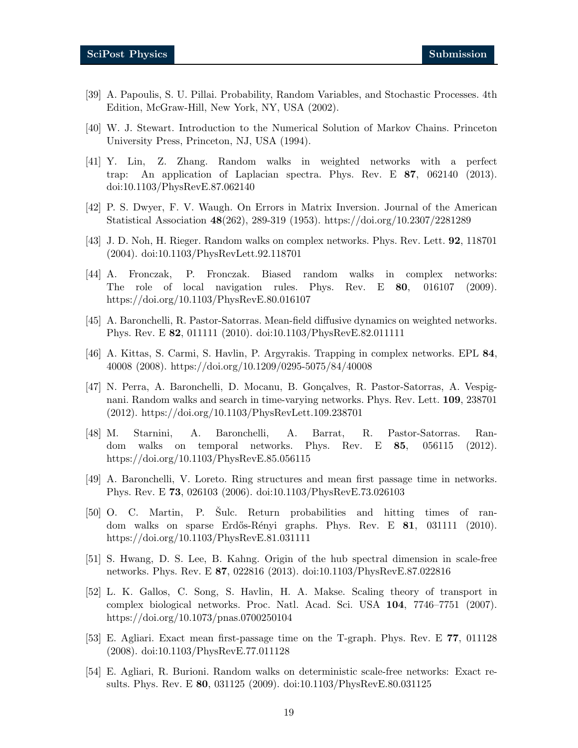- <span id="page-18-0"></span>[39] A. Papoulis, S. U. Pillai. Probability, Random Variables, and Stochastic Processes. 4th Edition, McGraw-Hill, New York, NY, USA (2002).
- <span id="page-18-1"></span>[40] W. J. Stewart. Introduction to the Numerical Solution of Markov Chains. Princeton University Press, Princeton, NJ, USA (1994).
- [41] Y. Lin, Z. Zhang. Random walks in weighted networks with a perfect trap: An application of Laplacian spectra. Phys. Rev. E 87, 062140 (2013). doi:10.1103/PhysRevE.87.062140
- <span id="page-18-3"></span><span id="page-18-2"></span>[42] P. S. Dwyer, F. V. Waugh. On Errors in Matrix Inversion. Journal of the American Statistical Association 48(262), 289-319 (1953). https://doi.org/10.2307/2281289
- <span id="page-18-4"></span>[43] J. D. Noh, H. Rieger. Random walks on complex networks. Phys. Rev. Lett. 92, 118701 (2004). doi:10.1103/PhysRevLett.92.118701
- [44] A. Fronczak, P. Fronczak. Biased random walks in complex networks: The role of local navigation rules. Phys. Rev. E 80, 016107 (2009). https://doi.org/10.1103/PhysRevE.80.016107
- <span id="page-18-5"></span>[45] A. Baronchelli, R. Pastor-Satorras. Mean-field diffusive dynamics on weighted networks. Phys. Rev. E 82, 011111 (2010). doi:10.1103/PhysRevE.82.011111
- [46] A. Kittas, S. Carmi, S. Havlin, P. Argyrakis. Trapping in complex networks. EPL 84, 40008 (2008). https://doi.org/10.1209/0295-5075/84/40008
- [47] N. Perra, A. Baronchelli, D. Mocanu, B. Gonçalves, R. Pastor-Satorras, A. Vespignani. Random walks and search in time-varying networks. Phys. Rev. Lett. 109, 238701 (2012). https://doi.org/10.1103/PhysRevLett.109.238701
- <span id="page-18-6"></span>[48] M. Starnini, A. Baronchelli, A. Barrat, R. Pastor-Satorras. Random walks on temporal networks. Phys. Rev. E 85, 056115 (2012). https://doi.org/10.1103/PhysRevE.85.056115
- <span id="page-18-8"></span><span id="page-18-7"></span>[49] A. Baronchelli, V. Loreto. Ring structures and mean first passage time in networks. Phys. Rev. E 73, 026103 (2006). doi:10.1103/PhysRevE.73.026103
- [50] O. C. Martin, P. Sulc. Return probabilities and hitting times of random walks on sparse Erdős-Rényi graphs. Phys. Rev. E  $81$ , 031111 (2010). https://doi.org/10.1103/PhysRevE.81.031111
- <span id="page-18-9"></span>[51] S. Hwang, D. S. Lee, B. Kahng. Origin of the hub spectral dimension in scale-free networks. Phys. Rev. E 87, 022816 (2013). doi:10.1103/PhysRevE.87.022816
- <span id="page-18-10"></span>[52] L. K. Gallos, C. Song, S. Havlin, H. A. Makse. Scaling theory of transport in complex biological networks. Proc. Natl. Acad. Sci. USA 104, 7746–7751 (2007). https://doi.org/10.1073/pnas.0700250104
- <span id="page-18-11"></span>[53] E. Agliari. Exact mean first-passage time on the T-graph. Phys. Rev. E 77, 011128 (2008). doi:10.1103/PhysRevE.77.011128
- [54] E. Agliari, R. Burioni. Random walks on deterministic scale-free networks: Exact results. Phys. Rev. E 80, 031125 (2009). doi:10.1103/PhysRevE.80.031125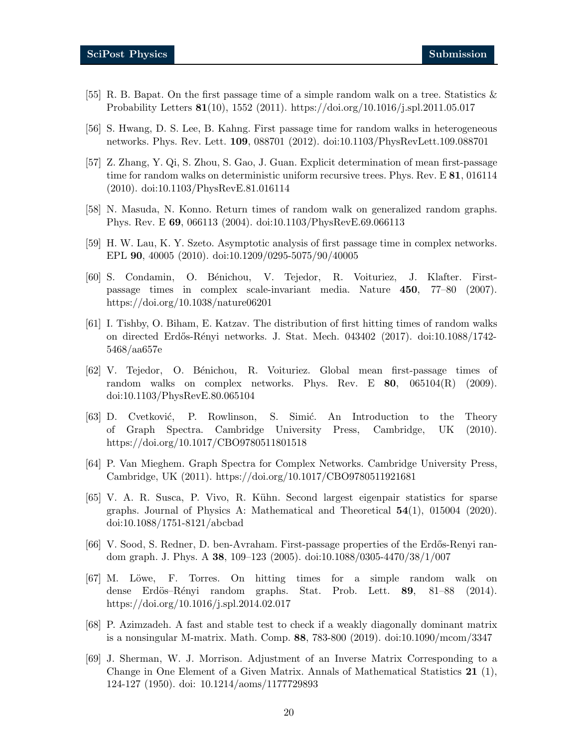- [55] R. B. Bapat. On the first passage time of a simple random walk on a tree. Statistics & Probability Letters 81(10), 1552 (2011). https://doi.org/10.1016/j.spl.2011.05.017
- <span id="page-19-0"></span>[56] S. Hwang, D. S. Lee, B. Kahng. First passage time for random walks in heterogeneous networks. Phys. Rev. Lett. 109, 088701 (2012). doi:10.1103/PhysRevLett.109.088701
- [57] Z. Zhang, Y. Qi, S. Zhou, S. Gao, J. Guan. Explicit determination of mean first-passage time for random walks on deterministic uniform recursive trees. Phys. Rev. E 81, 016114 (2010). doi:10.1103/PhysRevE.81.016114
- <span id="page-19-1"></span>[58] N. Masuda, N. Konno. Return times of random walk on generalized random graphs. Phys. Rev. E 69, 066113 (2004). doi:10.1103/PhysRevE.69.066113
- [59] H. W. Lau, K. Y. Szeto. Asymptotic analysis of first passage time in complex networks. EPL 90, 40005 (2010). doi:10.1209/0295-5075/90/40005
- [60] S. Condamin, O. B´enichou, V. Tejedor, R. Voituriez, J. Klafter. Firstpassage times in complex scale-invariant media. Nature 450, 77–80 (2007). https://doi.org/10.1038/nature06201
- [61] I. Tishby, O. Biham, E. Katzav. The distribution of first hitting times of random walks on directed Erd˝os-R´enyi networks. J. Stat. Mech. 043402 (2017). doi:10.1088/1742- 5468/aa657e
- <span id="page-19-2"></span>[62] V. Tejedor, O. B´enichou, R. Voituriez. Global mean first-passage times of random walks on complex networks. Phys. Rev. E 80, 065104(R) (2009). doi:10.1103/PhysRevE.80.065104
- <span id="page-19-3"></span>[63] D. Cvetković, P. Rowlinson, S. Simić. An Introduction to the Theory of Graph Spectra. Cambridge University Press, Cambridge, UK (2010). https://doi.org/10.1017/CBO9780511801518
- [64] P. Van Mieghem. Graph Spectra for Complex Networks. Cambridge University Press, Cambridge, UK (2011). https://doi.org/10.1017/CBO9780511921681
- <span id="page-19-4"></span>[65] V. A. R. Susca, P. Vivo, R. Kühn. Second largest eigenpair statistics for sparse graphs. Journal of Physics A: Mathematical and Theoretical 54(1), 015004 (2020). doi:10.1088/1751-8121/abcbad
- <span id="page-19-5"></span>[66] V. Sood, S. Redner, D. ben-Avraham. First-passage properties of the Erdős-Renyi random graph. J. Phys. A 38, 109–123 (2005). doi:10.1088/0305-4470/38/1/007
- <span id="page-19-6"></span>[67] M. Löwe, F. Torres. On hitting times for a simple random walk on dense Erdös–Rényi random graphs. Stat. Prob. Lett. 89, 81–88 (2014). https://doi.org/10.1016/j.spl.2014.02.017
- <span id="page-19-8"></span>[68] P. Azimzadeh. A fast and stable test to check if a weakly diagonally dominant matrix is a nonsingular M-matrix. Math. Comp. 88, 783-800 (2019). doi:10.1090/mcom/3347
- <span id="page-19-7"></span>[69] J. Sherman, W. J. Morrison. Adjustment of an Inverse Matrix Corresponding to a Change in One Element of a Given Matrix. Annals of Mathematical Statistics 21 (1), 124-127 (1950). doi: 10.1214/aoms/1177729893